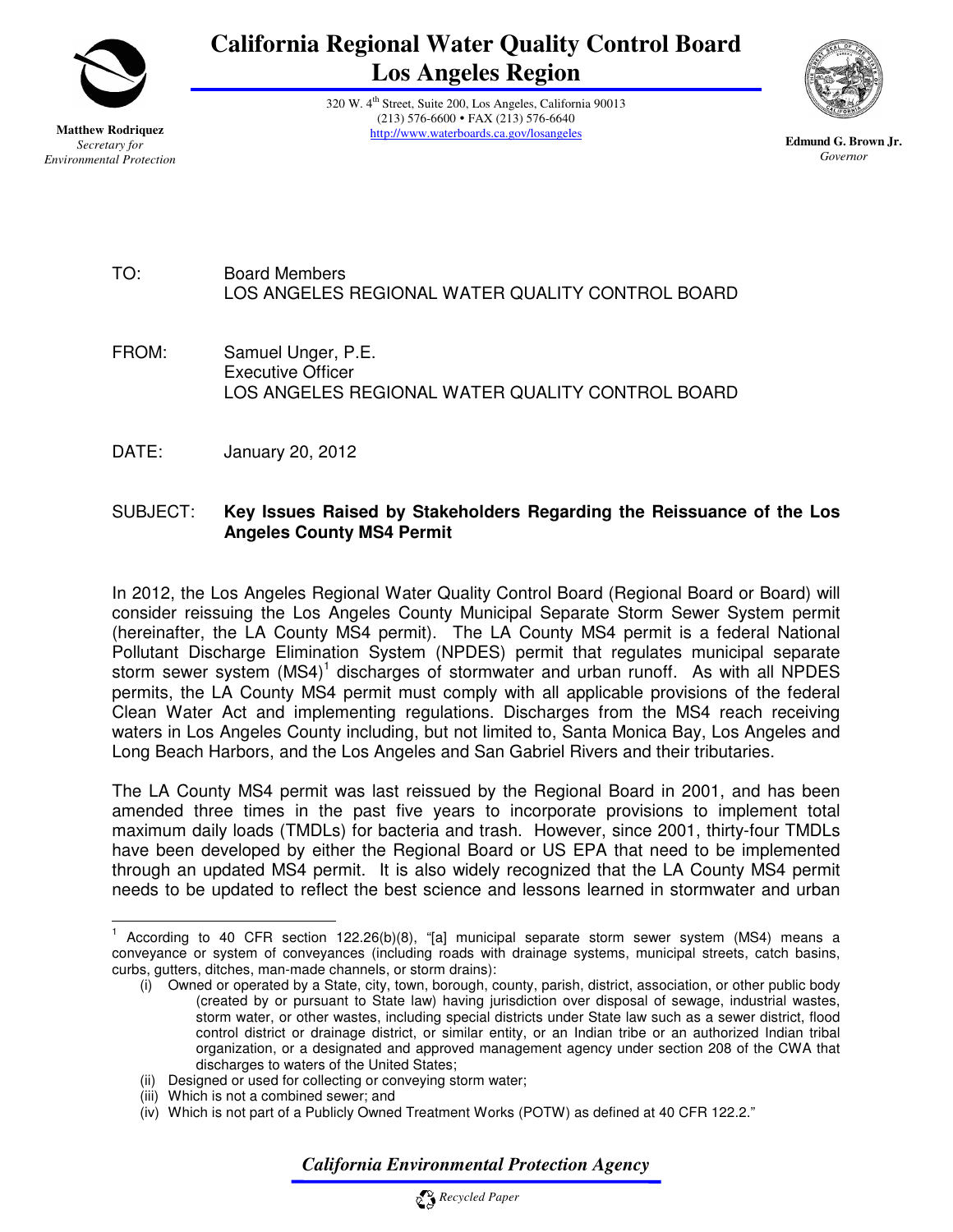

**Matthew Rodriquez**  *Secretary for Environmental Protection*

L,

**California Regional Water Quality Control Board Los Angeles Region** 

> 320 W. 4th Street, Suite 200, Los Angeles, California 90013 (213) 576-6600 FAX (213) 576-6640 http://www.waterboards.ca.gov/losangeles



**Edmund G. Brown Jr.** *Governor* 

TO: Board Members LOS ANGELES REGIONAL WATER QUALITY CONTROL BOARD

- FROM: Samuel Unger, P.E. Executive Officer LOS ANGELES REGIONAL WATER QUALITY CONTROL BOARD
- DATE: January 20, 2012

### SUBJECT: **Key Issues Raised by Stakeholders Regarding the Reissuance of the Los Angeles County MS4 Permit**

In 2012, the Los Angeles Regional Water Quality Control Board (Regional Board or Board) will consider reissuing the Los Angeles County Municipal Separate Storm Sewer System permit (hereinafter, the LA County MS4 permit). The LA County MS4 permit is a federal National Pollutant Discharge Elimination System (NPDES) permit that regulates municipal separate storm sewer system  $(MS4)^1$  discharges of stormwater and urban runoff. As with all NPDES permits, the LA County MS4 permit must comply with all applicable provisions of the federal Clean Water Act and implementing regulations. Discharges from the MS4 reach receiving waters in Los Angeles County including, but not limited to, Santa Monica Bay, Los Angeles and Long Beach Harbors, and the Los Angeles and San Gabriel Rivers and their tributaries.

The LA County MS4 permit was last reissued by the Regional Board in 2001, and has been amended three times in the past five years to incorporate provisions to implement total maximum daily loads (TMDLs) for bacteria and trash. However, since 2001, thirty-four TMDLs have been developed by either the Regional Board or US EPA that need to be implemented through an updated MS4 permit. It is also widely recognized that the LA County MS4 permit needs to be updated to reflect the best science and lessons learned in stormwater and urban

(iii) Which is not a combined sewer; and

*California Environmental Protection Agency*

<sup>&</sup>lt;sup>1</sup> According to 40 CFR section 122.26(b)(8), "[a] municipal separate storm sewer system (MS4) means a conveyance or system of conveyances (including roads with drainage systems, municipal streets, catch basins, curbs, gutters, ditches, man-made channels, or storm drains):

<sup>(</sup>i) Owned or operated by a State, city, town, borough, county, parish, district, association, or other public body (created by or pursuant to State law) having jurisdiction over disposal of sewage, industrial wastes, storm water, or other wastes, including special districts under State law such as a sewer district, flood control district or drainage district, or similar entity, or an Indian tribe or an authorized Indian tribal organization, or a designated and approved management agency under section 208 of the CWA that discharges to waters of the United States;

<sup>(</sup>ii) Designed or used for collecting or conveying storm water;

<sup>(</sup>iv) Which is not part of a Publicly Owned Treatment Works (POTW) as defined at 40 CFR 122.2."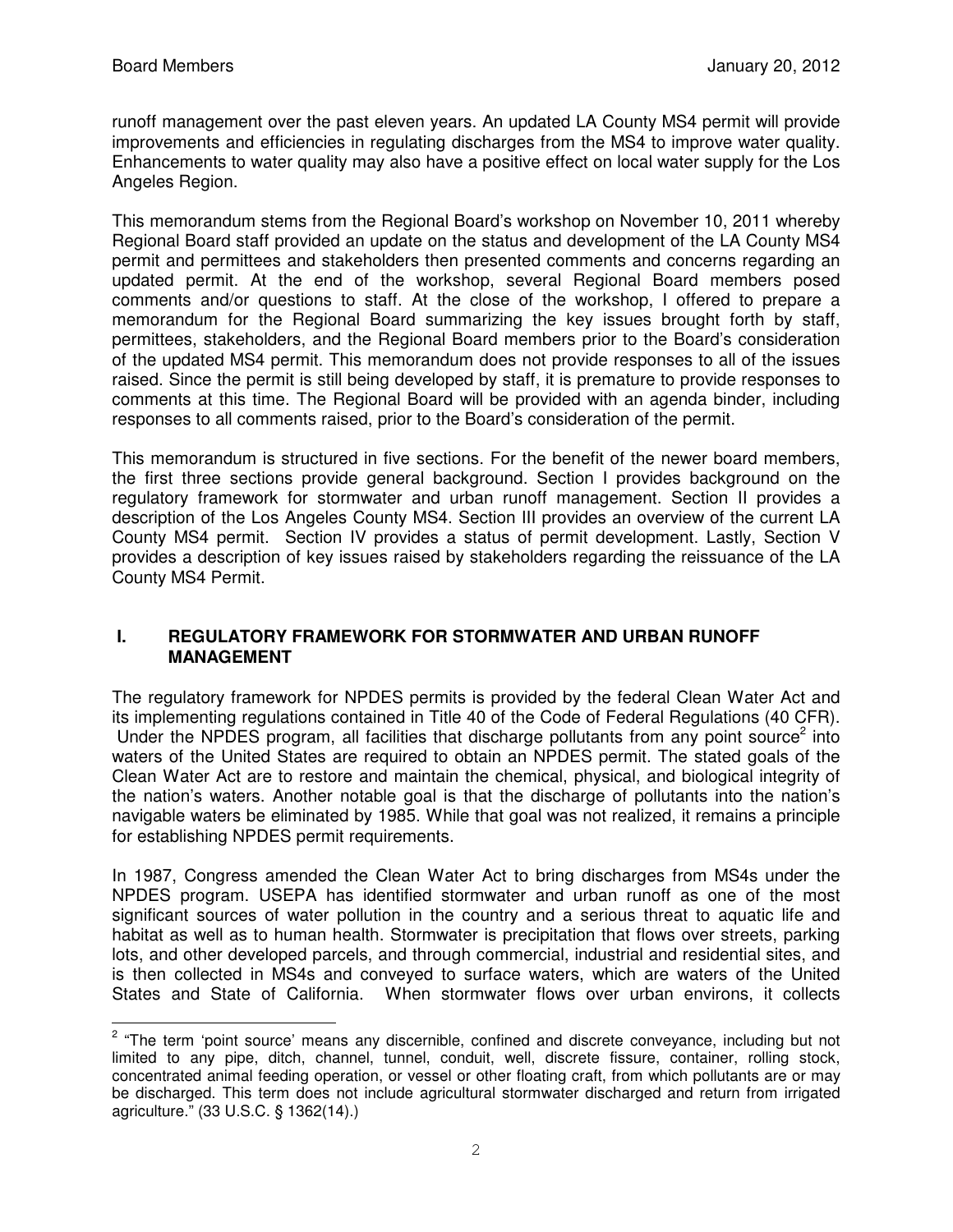j.

runoff management over the past eleven years. An updated LA County MS4 permit will provide improvements and efficiencies in regulating discharges from the MS4 to improve water quality. Enhancements to water quality may also have a positive effect on local water supply for the Los Angeles Region.

This memorandum stems from the Regional Board's workshop on November 10, 2011 whereby Regional Board staff provided an update on the status and development of the LA County MS4 permit and permittees and stakeholders then presented comments and concerns regarding an updated permit. At the end of the workshop, several Regional Board members posed comments and/or questions to staff. At the close of the workshop, I offered to prepare a memorandum for the Regional Board summarizing the key issues brought forth by staff, permittees, stakeholders, and the Regional Board members prior to the Board's consideration of the updated MS4 permit. This memorandum does not provide responses to all of the issues raised. Since the permit is still being developed by staff, it is premature to provide responses to comments at this time. The Regional Board will be provided with an agenda binder, including responses to all comments raised, prior to the Board's consideration of the permit.

This memorandum is structured in five sections. For the benefit of the newer board members, the first three sections provide general background. Section I provides background on the regulatory framework for stormwater and urban runoff management. Section II provides a description of the Los Angeles County MS4. Section III provides an overview of the current LA County MS4 permit. Section IV provides a status of permit development. Lastly, Section V provides a description of key issues raised by stakeholders regarding the reissuance of the LA County MS4 Permit.

## **I. REGULATORY FRAMEWORK FOR STORMWATER AND URBAN RUNOFF MANAGEMENT**

The regulatory framework for NPDES permits is provided by the federal Clean Water Act and its implementing regulations contained in Title 40 of the Code of Federal Regulations (40 CFR). Under the NPDES program, all facilities that discharge pollutants from any point source<sup>2</sup> into waters of the United States are required to obtain an NPDES permit. The stated goals of the Clean Water Act are to restore and maintain the chemical, physical, and biological integrity of the nation's waters. Another notable goal is that the discharge of pollutants into the nation's navigable waters be eliminated by 1985. While that goal was not realized, it remains a principle for establishing NPDES permit requirements.

In 1987, Congress amended the Clean Water Act to bring discharges from MS4s under the NPDES program. USEPA has identified stormwater and urban runoff as one of the most significant sources of water pollution in the country and a serious threat to aquatic life and habitat as well as to human health. Stormwater is precipitation that flows over streets, parking lots, and other developed parcels, and through commercial, industrial and residential sites, and is then collected in MS4s and conveyed to surface waters, which are waters of the United States and State of California. When stormwater flows over urban environs, it collects

<sup>&</sup>lt;sup>2</sup> "The term 'point source' means any discernible, confined and discrete conveyance, including but not limited to any pipe, ditch, channel, tunnel, conduit, well, discrete fissure, container, rolling stock, concentrated animal feeding operation, or vessel or other floating craft, from which pollutants are or may be discharged. This term does not include agricultural stormwater discharged and return from irrigated agriculture." (33 U.S.C. § 1362(14).)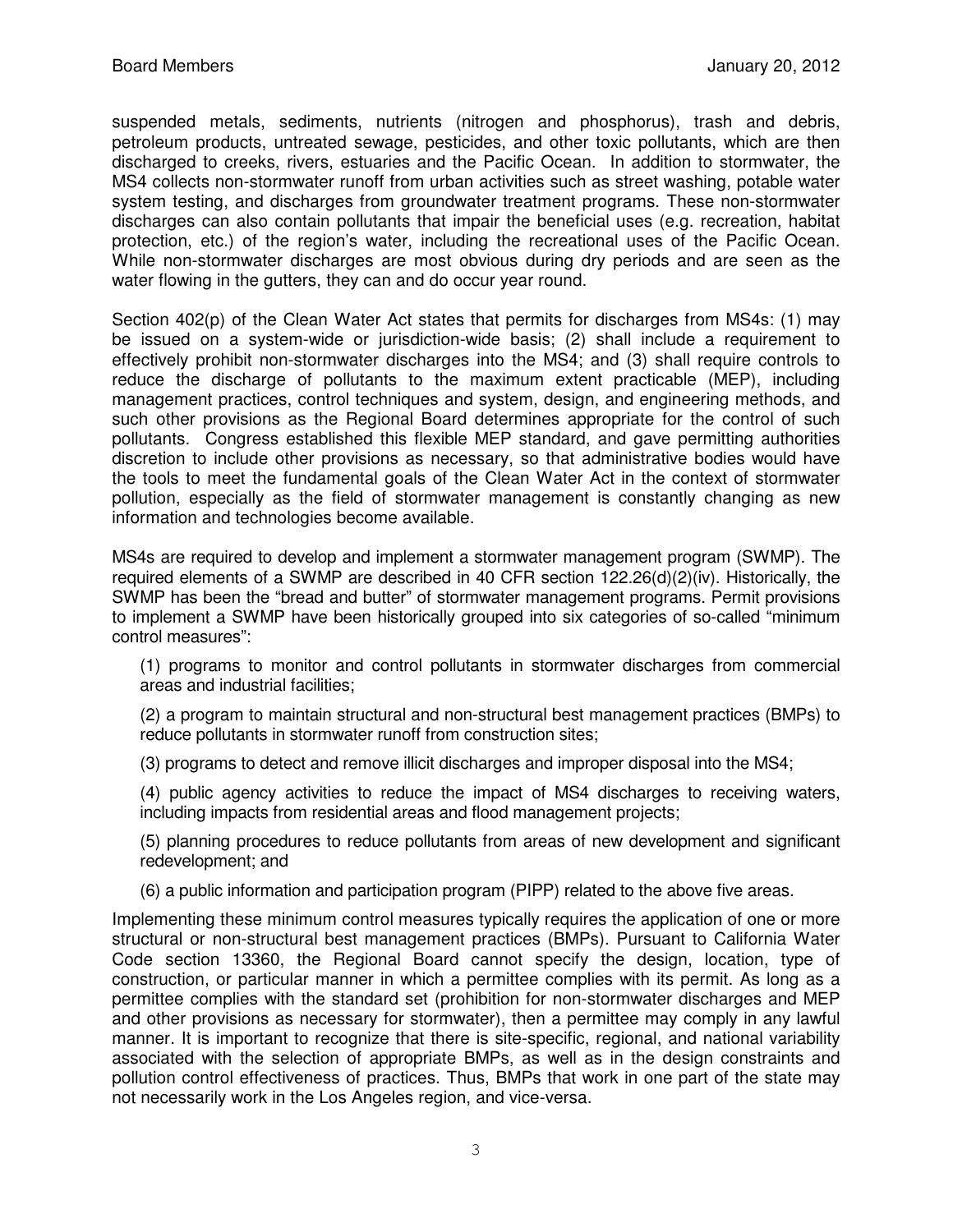suspended metals, sediments, nutrients (nitrogen and phosphorus), trash and debris, petroleum products, untreated sewage, pesticides, and other toxic pollutants, which are then discharged to creeks, rivers, estuaries and the Pacific Ocean. In addition to stormwater, the MS4 collects non-stormwater runoff from urban activities such as street washing, potable water system testing, and discharges from groundwater treatment programs. These non-stormwater discharges can also contain pollutants that impair the beneficial uses (e.g. recreation, habitat protection, etc.) of the region's water, including the recreational uses of the Pacific Ocean. While non-stormwater discharges are most obvious during dry periods and are seen as the water flowing in the gutters, they can and do occur year round.

Section 402(p) of the Clean Water Act states that permits for discharges from MS4s: (1) may be issued on a system-wide or jurisdiction-wide basis; (2) shall include a requirement to effectively prohibit non-stormwater discharges into the MS4; and (3) shall require controls to reduce the discharge of pollutants to the maximum extent practicable (MEP), including management practices, control techniques and system, design, and engineering methods, and such other provisions as the Regional Board determines appropriate for the control of such pollutants. Congress established this flexible MEP standard, and gave permitting authorities discretion to include other provisions as necessary, so that administrative bodies would have the tools to meet the fundamental goals of the Clean Water Act in the context of stormwater pollution, especially as the field of stormwater management is constantly changing as new information and technologies become available.

MS4s are required to develop and implement a stormwater management program (SWMP). The required elements of a SWMP are described in 40 CFR section 122.26(d)(2)(iv). Historically, the SWMP has been the "bread and butter" of stormwater management programs. Permit provisions to implement a SWMP have been historically grouped into six categories of so-called "minimum control measures":

(1) programs to monitor and control pollutants in stormwater discharges from commercial areas and industrial facilities;

(2) a program to maintain structural and non-structural best management practices (BMPs) to reduce pollutants in stormwater runoff from construction sites;

(3) programs to detect and remove illicit discharges and improper disposal into the MS4;

(4) public agency activities to reduce the impact of MS4 discharges to receiving waters, including impacts from residential areas and flood management projects;

(5) planning procedures to reduce pollutants from areas of new development and significant redevelopment; and

(6) a public information and participation program (PIPP) related to the above five areas.

Implementing these minimum control measures typically requires the application of one or more structural or non-structural best management practices (BMPs). Pursuant to California Water Code section 13360, the Regional Board cannot specify the design, location, type of construction, or particular manner in which a permittee complies with its permit. As long as a permittee complies with the standard set (prohibition for non-stormwater discharges and MEP and other provisions as necessary for stormwater), then a permittee may comply in any lawful manner. It is important to recognize that there is site-specific, regional, and national variability associated with the selection of appropriate BMPs, as well as in the design constraints and pollution control effectiveness of practices. Thus, BMPs that work in one part of the state may not necessarily work in the Los Angeles region, and vice-versa.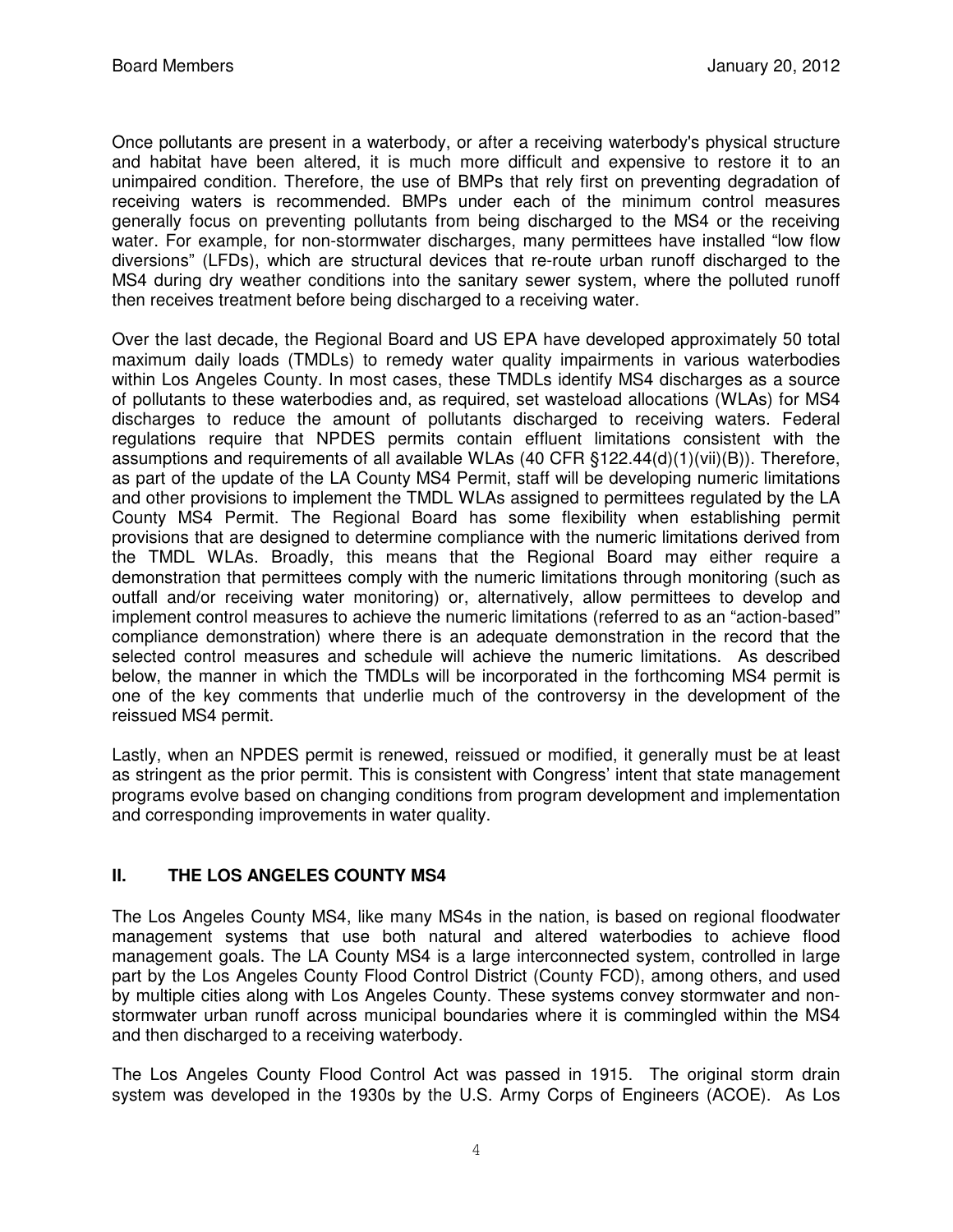Once pollutants are present in a waterbody, or after a receiving waterbody's physical structure and habitat have been altered, it is much more difficult and expensive to restore it to an unimpaired condition. Therefore, the use of BMPs that rely first on preventing degradation of receiving waters is recommended. BMPs under each of the minimum control measures generally focus on preventing pollutants from being discharged to the MS4 or the receiving water. For example, for non-stormwater discharges, many permittees have installed "low flow diversions" (LFDs), which are structural devices that re-route urban runoff discharged to the MS4 during dry weather conditions into the sanitary sewer system, where the polluted runoff then receives treatment before being discharged to a receiving water.

Over the last decade, the Regional Board and US EPA have developed approximately 50 total maximum daily loads (TMDLs) to remedy water quality impairments in various waterbodies within Los Angeles County. In most cases, these TMDLs identify MS4 discharges as a source of pollutants to these waterbodies and, as required, set wasteload allocations (WLAs) for MS4 discharges to reduce the amount of pollutants discharged to receiving waters. Federal regulations require that NPDES permits contain effluent limitations consistent with the assumptions and requirements of all available WLAs (40 CFR §122.44(d)(1)(vii)(B)). Therefore, as part of the update of the LA County MS4 Permit, staff will be developing numeric limitations and other provisions to implement the TMDL WLAs assigned to permittees regulated by the LA County MS4 Permit. The Regional Board has some flexibility when establishing permit provisions that are designed to determine compliance with the numeric limitations derived from the TMDL WLAs. Broadly, this means that the Regional Board may either require a demonstration that permittees comply with the numeric limitations through monitoring (such as outfall and/or receiving water monitoring) or, alternatively, allow permittees to develop and implement control measures to achieve the numeric limitations (referred to as an "action-based" compliance demonstration) where there is an adequate demonstration in the record that the selected control measures and schedule will achieve the numeric limitations. As described below, the manner in which the TMDLs will be incorporated in the forthcoming MS4 permit is one of the key comments that underlie much of the controversy in the development of the reissued MS4 permit.

Lastly, when an NPDES permit is renewed, reissued or modified, it generally must be at least as stringent as the prior permit. This is consistent with Congress' intent that state management programs evolve based on changing conditions from program development and implementation and corresponding improvements in water quality.

# **II. THE LOS ANGELES COUNTY MS4**

The Los Angeles County MS4, like many MS4s in the nation, is based on regional floodwater management systems that use both natural and altered waterbodies to achieve flood management goals. The LA County MS4 is a large interconnected system, controlled in large part by the Los Angeles County Flood Control District (County FCD), among others, and used by multiple cities along with Los Angeles County. These systems convey stormwater and nonstormwater urban runoff across municipal boundaries where it is commingled within the MS4 and then discharged to a receiving waterbody.

The Los Angeles County Flood Control Act was passed in 1915. The original storm drain system was developed in the 1930s by the U.S. Army Corps of Engineers (ACOE). As Los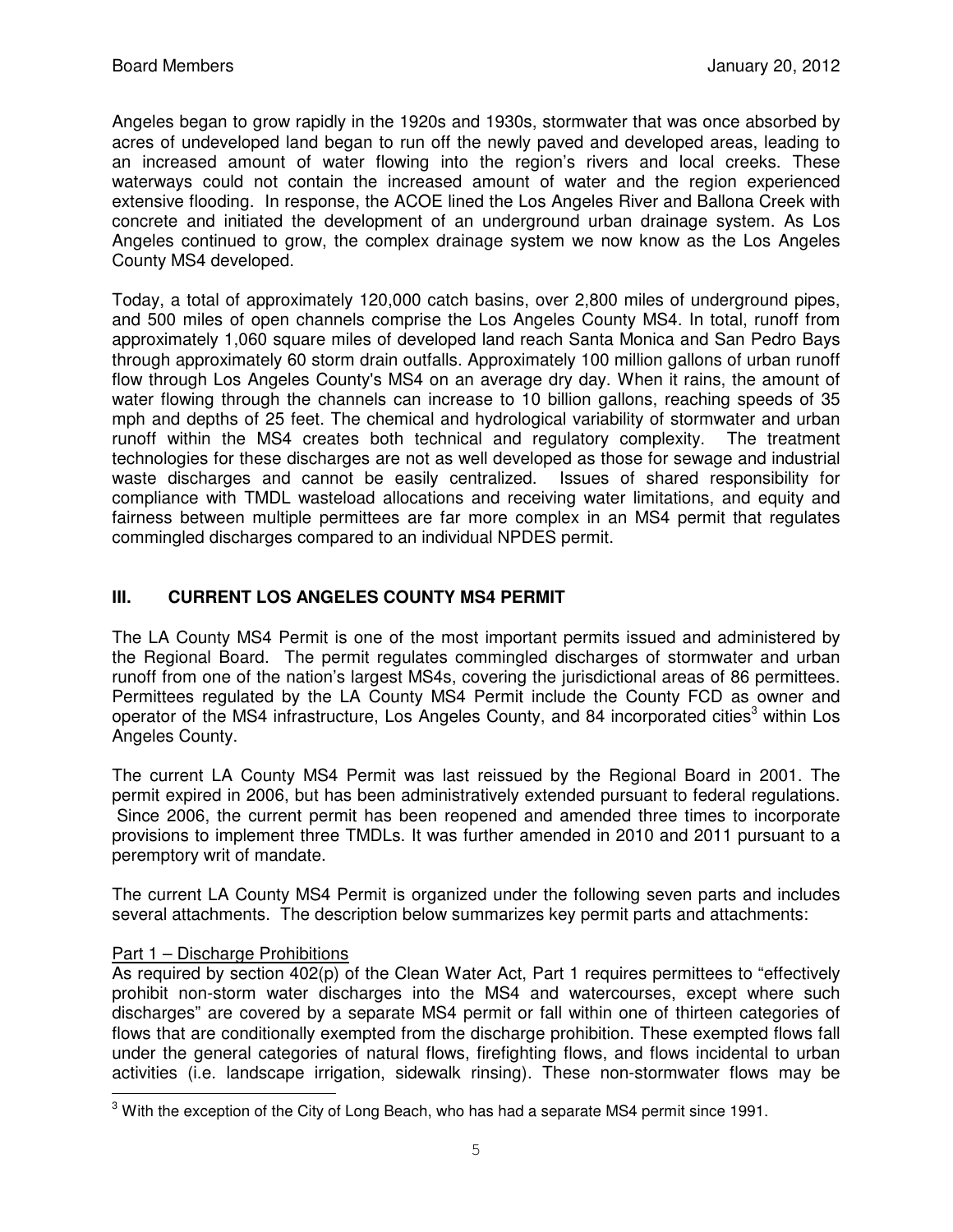Angeles began to grow rapidly in the 1920s and 1930s, stormwater that was once absorbed by acres of undeveloped land began to run off the newly paved and developed areas, leading to an increased amount of water flowing into the region's rivers and local creeks. These waterways could not contain the increased amount of water and the region experienced extensive flooding. In response, the ACOE lined the Los Angeles River and Ballona Creek with concrete and initiated the development of an underground urban drainage system. As Los Angeles continued to grow, the complex drainage system we now know as the Los Angeles County MS4 developed.

Today, a total of approximately 120,000 catch basins, over 2,800 miles of underground pipes, and 500 miles of open channels comprise the Los Angeles County MS4. In total, runoff from approximately 1,060 square miles of developed land reach Santa Monica and San Pedro Bays through approximately 60 storm drain outfalls. Approximately 100 million gallons of urban runoff flow through Los Angeles County's MS4 on an average dry day. When it rains, the amount of water flowing through the channels can increase to 10 billion gallons, reaching speeds of 35 mph and depths of 25 feet. The chemical and hydrological variability of stormwater and urban runoff within the MS4 creates both technical and regulatory complexity. The treatment technologies for these discharges are not as well developed as those for sewage and industrial waste discharges and cannot be easily centralized. Issues of shared responsibility for compliance with TMDL wasteload allocations and receiving water limitations, and equity and fairness between multiple permittees are far more complex in an MS4 permit that regulates commingled discharges compared to an individual NPDES permit.

# **III. CURRENT LOS ANGELES COUNTY MS4 PERMIT**

The LA County MS4 Permit is one of the most important permits issued and administered by the Regional Board. The permit regulates commingled discharges of stormwater and urban runoff from one of the nation's largest MS4s, covering the jurisdictional areas of 86 permittees. Permittees regulated by the LA County MS4 Permit include the County FCD as owner and operator of the MS4 infrastructure, Los Angeles County, and 84 incorporated cities<sup>3</sup> within Los Angeles County.

The current LA County MS4 Permit was last reissued by the Regional Board in 2001. The permit expired in 2006, but has been administratively extended pursuant to federal regulations. Since 2006, the current permit has been reopened and amended three times to incorporate provisions to implement three TMDLs. It was further amended in 2010 and 2011 pursuant to a peremptory writ of mandate.

The current LA County MS4 Permit is organized under the following seven parts and includes several attachments. The description below summarizes key permit parts and attachments:

# Part 1 – Discharge Prohibitions

As required by section 402(p) of the Clean Water Act, Part 1 requires permittees to "effectively prohibit non-storm water discharges into the MS4 and watercourses, except where such discharges" are covered by a separate MS4 permit or fall within one of thirteen categories of flows that are conditionally exempted from the discharge prohibition. These exempted flows fall under the general categories of natural flows, firefighting flows, and flows incidental to urban activities (i.e. landscape irrigation, sidewalk rinsing). These non-stormwater flows may be L,

 $3$  With the exception of the City of Long Beach, who has had a separate MS4 permit since 1991.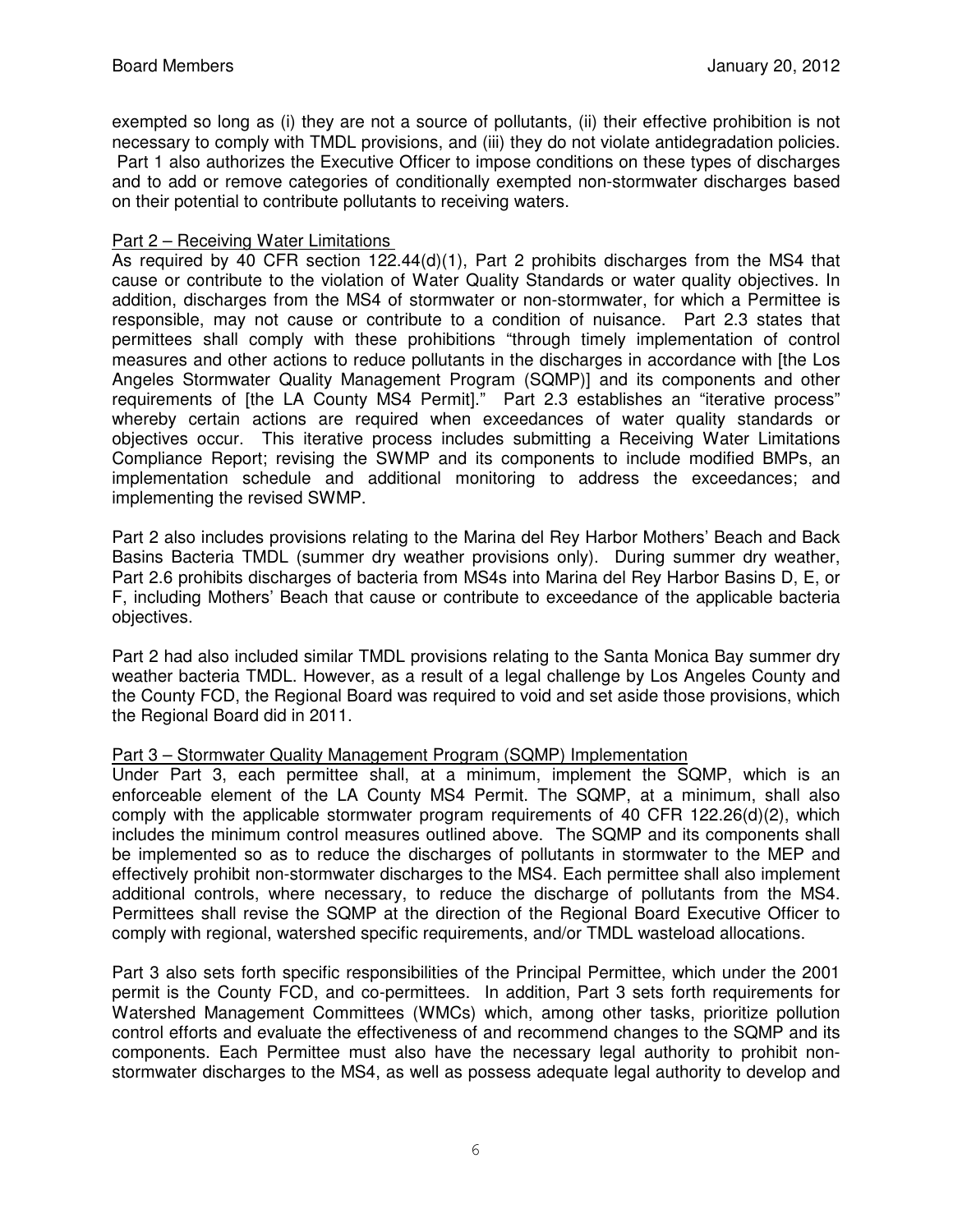exempted so long as (i) they are not a source of pollutants, (ii) their effective prohibition is not necessary to comply with TMDL provisions, and (iii) they do not violate antidegradation policies. Part 1 also authorizes the Executive Officer to impose conditions on these types of discharges and to add or remove categories of conditionally exempted non-stormwater discharges based on their potential to contribute pollutants to receiving waters.

#### Part 2 – Receiving Water Limitations

As required by 40 CFR section 122.44(d)(1), Part 2 prohibits discharges from the MS4 that cause or contribute to the violation of Water Quality Standards or water quality objectives. In addition, discharges from the MS4 of stormwater or non-stormwater, for which a Permittee is responsible, may not cause or contribute to a condition of nuisance. Part 2.3 states that permittees shall comply with these prohibitions "through timely implementation of control measures and other actions to reduce pollutants in the discharges in accordance with [the Los Angeles Stormwater Quality Management Program (SQMP)] and its components and other requirements of [the LA County MS4 Permit]." Part 2.3 establishes an "iterative process" whereby certain actions are required when exceedances of water quality standards or objectives occur. This iterative process includes submitting a Receiving Water Limitations Compliance Report; revising the SWMP and its components to include modified BMPs, an implementation schedule and additional monitoring to address the exceedances; and implementing the revised SWMP.

Part 2 also includes provisions relating to the Marina del Rey Harbor Mothers' Beach and Back Basins Bacteria TMDL (summer dry weather provisions only). During summer dry weather, Part 2.6 prohibits discharges of bacteria from MS4s into Marina del Rey Harbor Basins D, E, or F, including Mothers' Beach that cause or contribute to exceedance of the applicable bacteria objectives.

Part 2 had also included similar TMDL provisions relating to the Santa Monica Bay summer dry weather bacteria TMDL. However, as a result of a legal challenge by Los Angeles County and the County FCD, the Regional Board was required to void and set aside those provisions, which the Regional Board did in 2011.

### Part 3 – Stormwater Quality Management Program (SQMP) Implementation

Under Part 3, each permittee shall, at a minimum, implement the SQMP, which is an enforceable element of the LA County MS4 Permit. The SQMP, at a minimum, shall also comply with the applicable stormwater program requirements of 40 CFR 122.26(d)(2), which includes the minimum control measures outlined above. The SQMP and its components shall be implemented so as to reduce the discharges of pollutants in stormwater to the MEP and effectively prohibit non-stormwater discharges to the MS4. Each permittee shall also implement additional controls, where necessary, to reduce the discharge of pollutants from the MS4. Permittees shall revise the SQMP at the direction of the Regional Board Executive Officer to comply with regional, watershed specific requirements, and/or TMDL wasteload allocations.

Part 3 also sets forth specific responsibilities of the Principal Permittee, which under the 2001 permit is the County FCD, and co-permittees. In addition, Part 3 sets forth requirements for Watershed Management Committees (WMCs) which, among other tasks, prioritize pollution control efforts and evaluate the effectiveness of and recommend changes to the SQMP and its components. Each Permittee must also have the necessary legal authority to prohibit nonstormwater discharges to the MS4, as well as possess adequate legal authority to develop and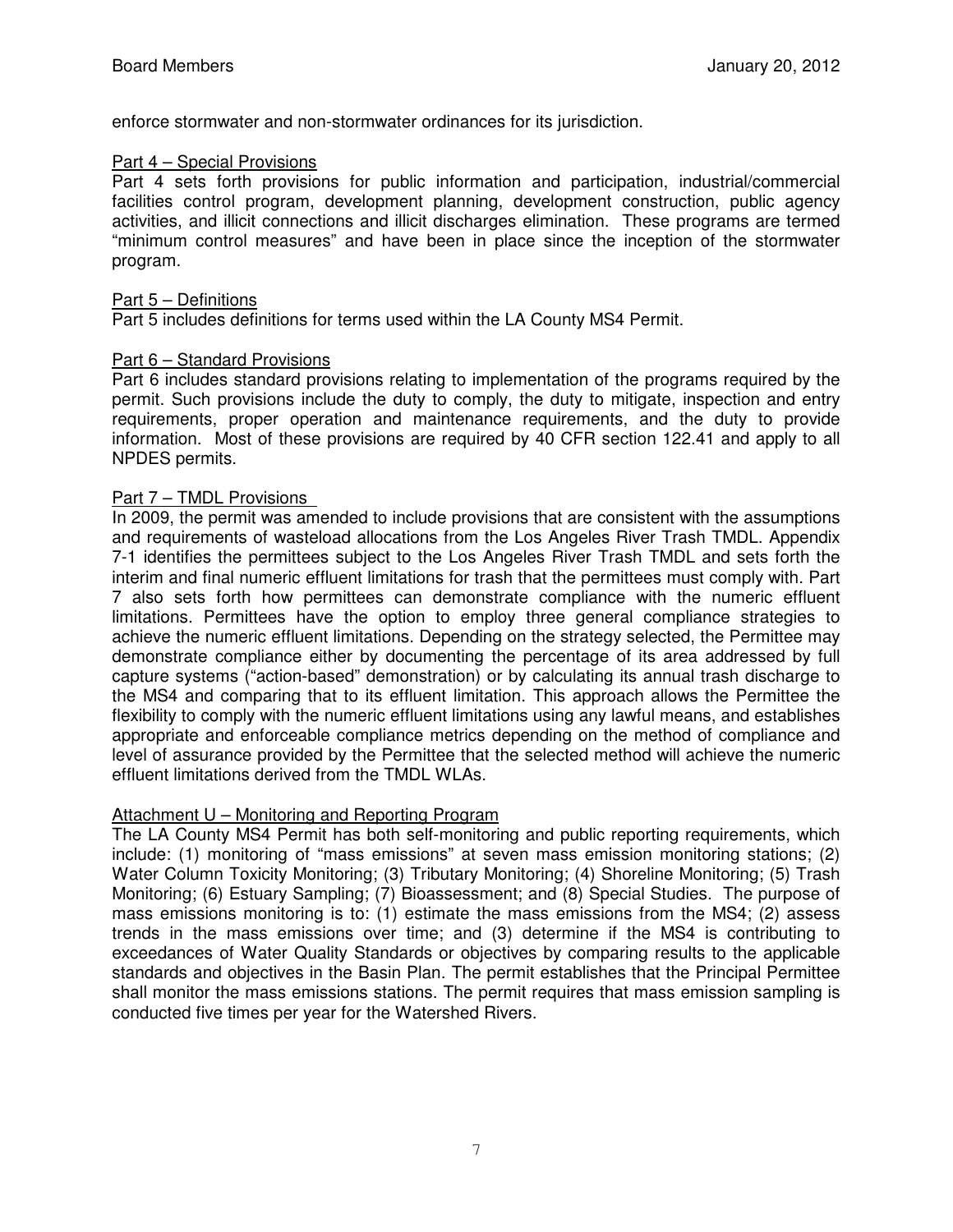enforce stormwater and non-stormwater ordinances for its jurisdiction.

### Part 4 – Special Provisions

Part 4 sets forth provisions for public information and participation, industrial/commercial facilities control program, development planning, development construction, public agency activities, and illicit connections and illicit discharges elimination. These programs are termed "minimum control measures" and have been in place since the inception of the stormwater program.

#### Part 5 – Definitions

Part 5 includes definitions for terms used within the LA County MS4 Permit.

#### Part 6 – Standard Provisions

Part 6 includes standard provisions relating to implementation of the programs required by the permit. Such provisions include the duty to comply, the duty to mitigate, inspection and entry requirements, proper operation and maintenance requirements, and the duty to provide information. Most of these provisions are required by 40 CFR section 122.41 and apply to all NPDES permits.

#### Part 7 – TMDL Provisions

In 2009, the permit was amended to include provisions that are consistent with the assumptions and requirements of wasteload allocations from the Los Angeles River Trash TMDL. Appendix 7-1 identifies the permittees subject to the Los Angeles River Trash TMDL and sets forth the interim and final numeric effluent limitations for trash that the permittees must comply with. Part 7 also sets forth how permittees can demonstrate compliance with the numeric effluent limitations. Permittees have the option to employ three general compliance strategies to achieve the numeric effluent limitations. Depending on the strategy selected, the Permittee may demonstrate compliance either by documenting the percentage of its area addressed by full capture systems ("action-based" demonstration) or by calculating its annual trash discharge to the MS4 and comparing that to its effluent limitation. This approach allows the Permittee the flexibility to comply with the numeric effluent limitations using any lawful means, and establishes appropriate and enforceable compliance metrics depending on the method of compliance and level of assurance provided by the Permittee that the selected method will achieve the numeric effluent limitations derived from the TMDL WLAs.

### Attachment U – Monitoring and Reporting Program

The LA County MS4 Permit has both self-monitoring and public reporting requirements, which include: (1) monitoring of "mass emissions" at seven mass emission monitoring stations; (2) Water Column Toxicity Monitoring; (3) Tributary Monitoring; (4) Shoreline Monitoring; (5) Trash Monitoring; (6) Estuary Sampling; (7) Bioassessment; and (8) Special Studies. The purpose of mass emissions monitoring is to: (1) estimate the mass emissions from the MS4; (2) assess trends in the mass emissions over time; and (3) determine if the MS4 is contributing to exceedances of Water Quality Standards or objectives by comparing results to the applicable standards and objectives in the Basin Plan. The permit establishes that the Principal Permittee shall monitor the mass emissions stations. The permit requires that mass emission sampling is conducted five times per year for the Watershed Rivers.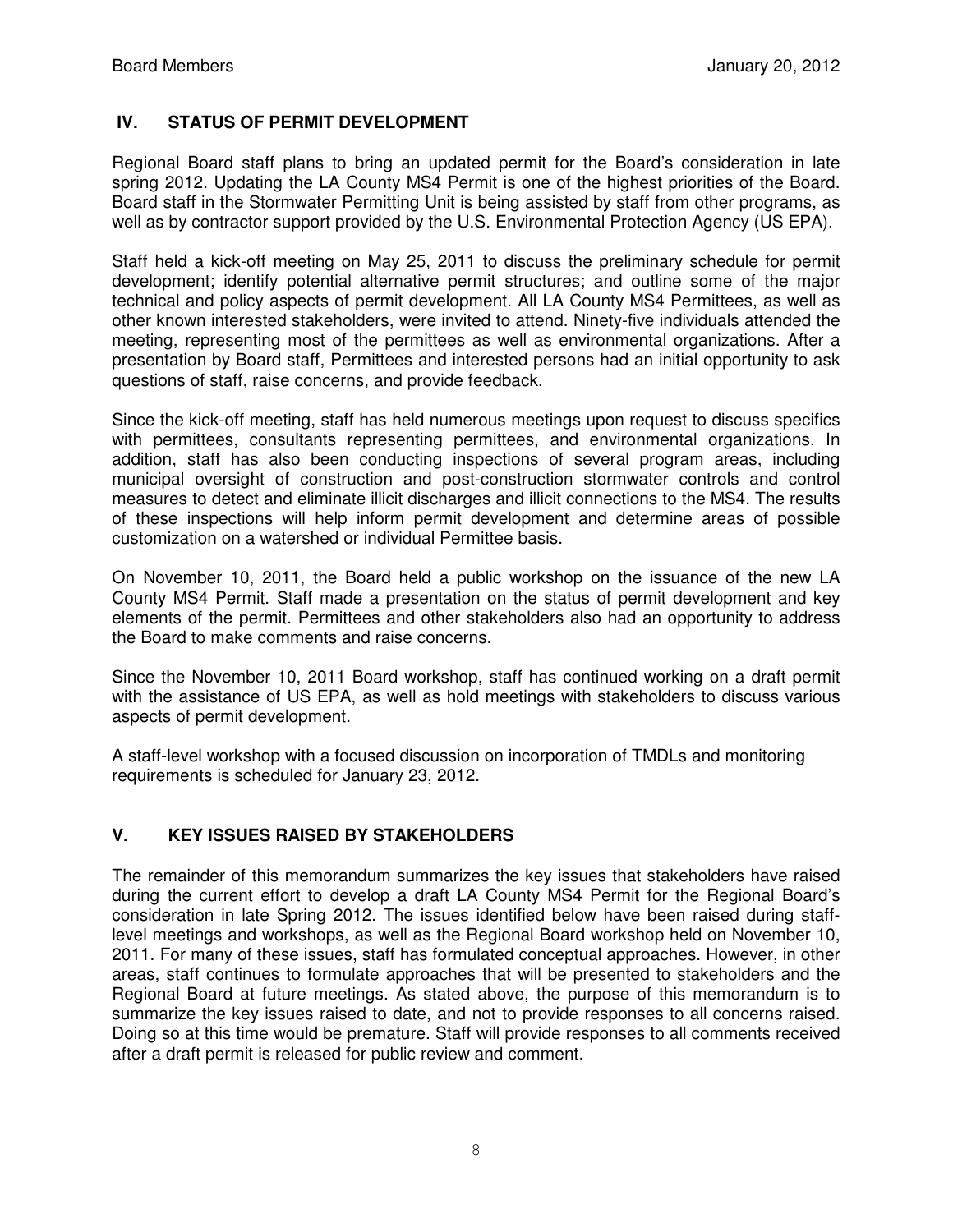# **IV. STATUS OF PERMIT DEVELOPMENT**

Regional Board staff plans to bring an updated permit for the Board's consideration in late spring 2012. Updating the LA County MS4 Permit is one of the highest priorities of the Board. Board staff in the Stormwater Permitting Unit is being assisted by staff from other programs, as well as by contractor support provided by the U.S. Environmental Protection Agency (US EPA).

Staff held a kick-off meeting on May 25, 2011 to discuss the preliminary schedule for permit development; identify potential alternative permit structures; and outline some of the major technical and policy aspects of permit development. All LA County MS4 Permittees, as well as other known interested stakeholders, were invited to attend. Ninety-five individuals attended the meeting, representing most of the permittees as well as environmental organizations. After a presentation by Board staff, Permittees and interested persons had an initial opportunity to ask questions of staff, raise concerns, and provide feedback.

Since the kick-off meeting, staff has held numerous meetings upon request to discuss specifics with permittees, consultants representing permittees, and environmental organizations. In addition, staff has also been conducting inspections of several program areas, including municipal oversight of construction and post-construction stormwater controls and control measures to detect and eliminate illicit discharges and illicit connections to the MS4. The results of these inspections will help inform permit development and determine areas of possible customization on a watershed or individual Permittee basis.

On November 10, 2011, the Board held a public workshop on the issuance of the new LA County MS4 Permit. Staff made a presentation on the status of permit development and key elements of the permit. Permittees and other stakeholders also had an opportunity to address the Board to make comments and raise concerns.

Since the November 10, 2011 Board workshop, staff has continued working on a draft permit with the assistance of US EPA, as well as hold meetings with stakeholders to discuss various aspects of permit development.

A staff-level workshop with a focused discussion on incorporation of TMDLs and monitoring requirements is scheduled for January 23, 2012.

# **V. KEY ISSUES RAISED BY STAKEHOLDERS**

The remainder of this memorandum summarizes the key issues that stakeholders have raised during the current effort to develop a draft LA County MS4 Permit for the Regional Board's consideration in late Spring 2012. The issues identified below have been raised during stafflevel meetings and workshops, as well as the Regional Board workshop held on November 10, 2011. For many of these issues, staff has formulated conceptual approaches. However, in other areas, staff continues to formulate approaches that will be presented to stakeholders and the Regional Board at future meetings. As stated above, the purpose of this memorandum is to summarize the key issues raised to date, and not to provide responses to all concerns raised. Doing so at this time would be premature. Staff will provide responses to all comments received after a draft permit is released for public review and comment.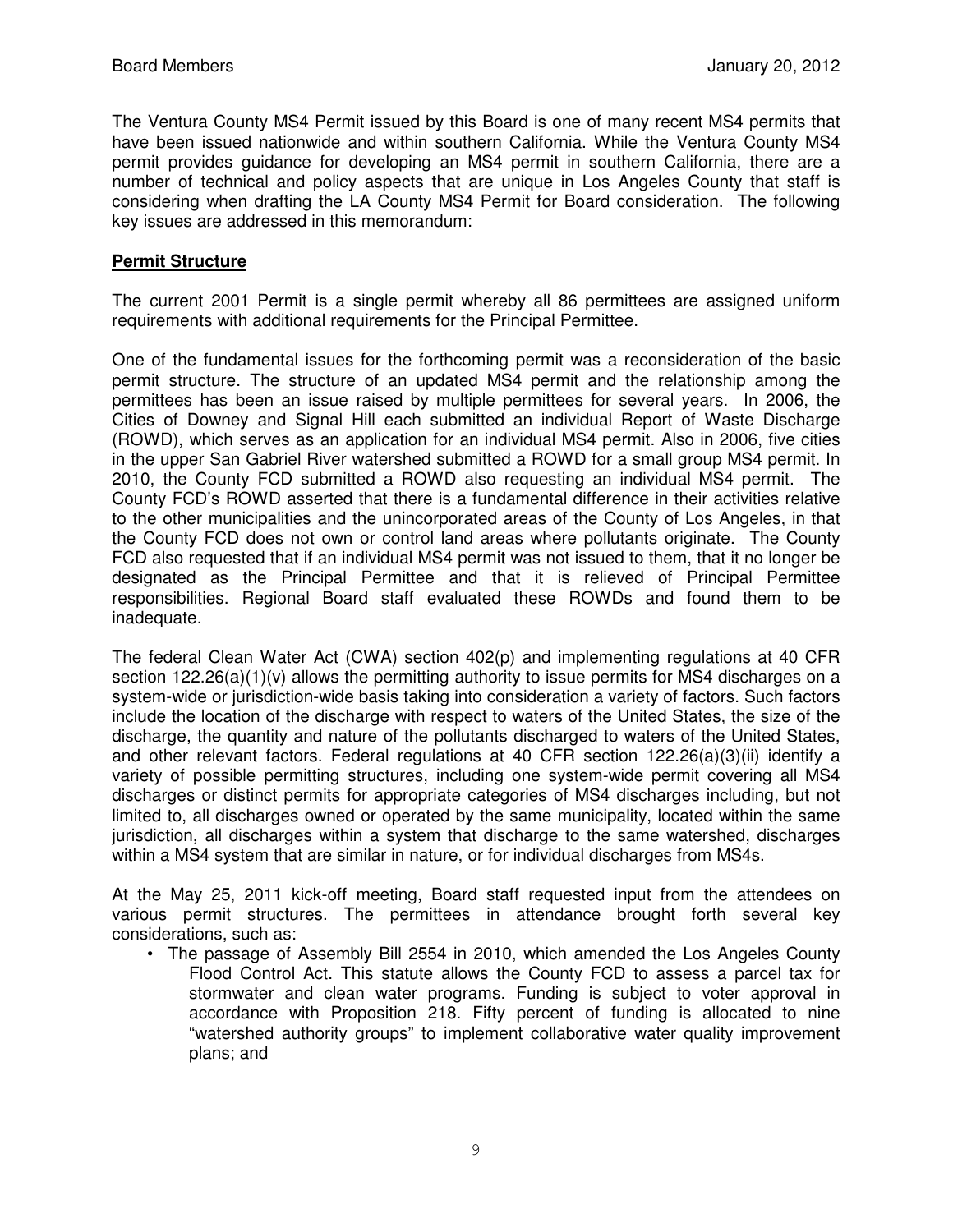The Ventura County MS4 Permit issued by this Board is one of many recent MS4 permits that have been issued nationwide and within southern California. While the Ventura County MS4 permit provides guidance for developing an MS4 permit in southern California, there are a number of technical and policy aspects that are unique in Los Angeles County that staff is considering when drafting the LA County MS4 Permit for Board consideration. The following key issues are addressed in this memorandum:

## **Permit Structure**

The current 2001 Permit is a single permit whereby all 86 permittees are assigned uniform requirements with additional requirements for the Principal Permittee.

One of the fundamental issues for the forthcoming permit was a reconsideration of the basic permit structure. The structure of an updated MS4 permit and the relationship among the permittees has been an issue raised by multiple permittees for several years. In 2006, the Cities of Downey and Signal Hill each submitted an individual Report of Waste Discharge (ROWD), which serves as an application for an individual MS4 permit. Also in 2006, five cities in the upper San Gabriel River watershed submitted a ROWD for a small group MS4 permit. In 2010, the County FCD submitted a ROWD also requesting an individual MS4 permit. The County FCD's ROWD asserted that there is a fundamental difference in their activities relative to the other municipalities and the unincorporated areas of the County of Los Angeles, in that the County FCD does not own or control land areas where pollutants originate. The County FCD also requested that if an individual MS4 permit was not issued to them, that it no longer be designated as the Principal Permittee and that it is relieved of Principal Permittee responsibilities. Regional Board staff evaluated these ROWDs and found them to be inadequate.

The federal Clean Water Act (CWA) section 402(p) and implementing regulations at 40 CFR section 122.26(a)(1)(v) allows the permitting authority to issue permits for MS4 discharges on a system-wide or jurisdiction-wide basis taking into consideration a variety of factors. Such factors include the location of the discharge with respect to waters of the United States, the size of the discharge, the quantity and nature of the pollutants discharged to waters of the United States, and other relevant factors. Federal regulations at 40 CFR section 122.26(a)(3)(ii) identify a variety of possible permitting structures, including one system-wide permit covering all MS4 discharges or distinct permits for appropriate categories of MS4 discharges including, but not limited to, all discharges owned or operated by the same municipality, located within the same jurisdiction, all discharges within a system that discharge to the same watershed, discharges within a MS4 system that are similar in nature, or for individual discharges from MS4s.

At the May 25, 2011 kick-off meeting, Board staff requested input from the attendees on various permit structures. The permittees in attendance brought forth several key considerations, such as:

• The passage of Assembly Bill 2554 in 2010, which amended the Los Angeles County Flood Control Act. This statute allows the County FCD to assess a parcel tax for stormwater and clean water programs. Funding is subject to voter approval in accordance with Proposition 218. Fifty percent of funding is allocated to nine "watershed authority groups" to implement collaborative water quality improvement plans; and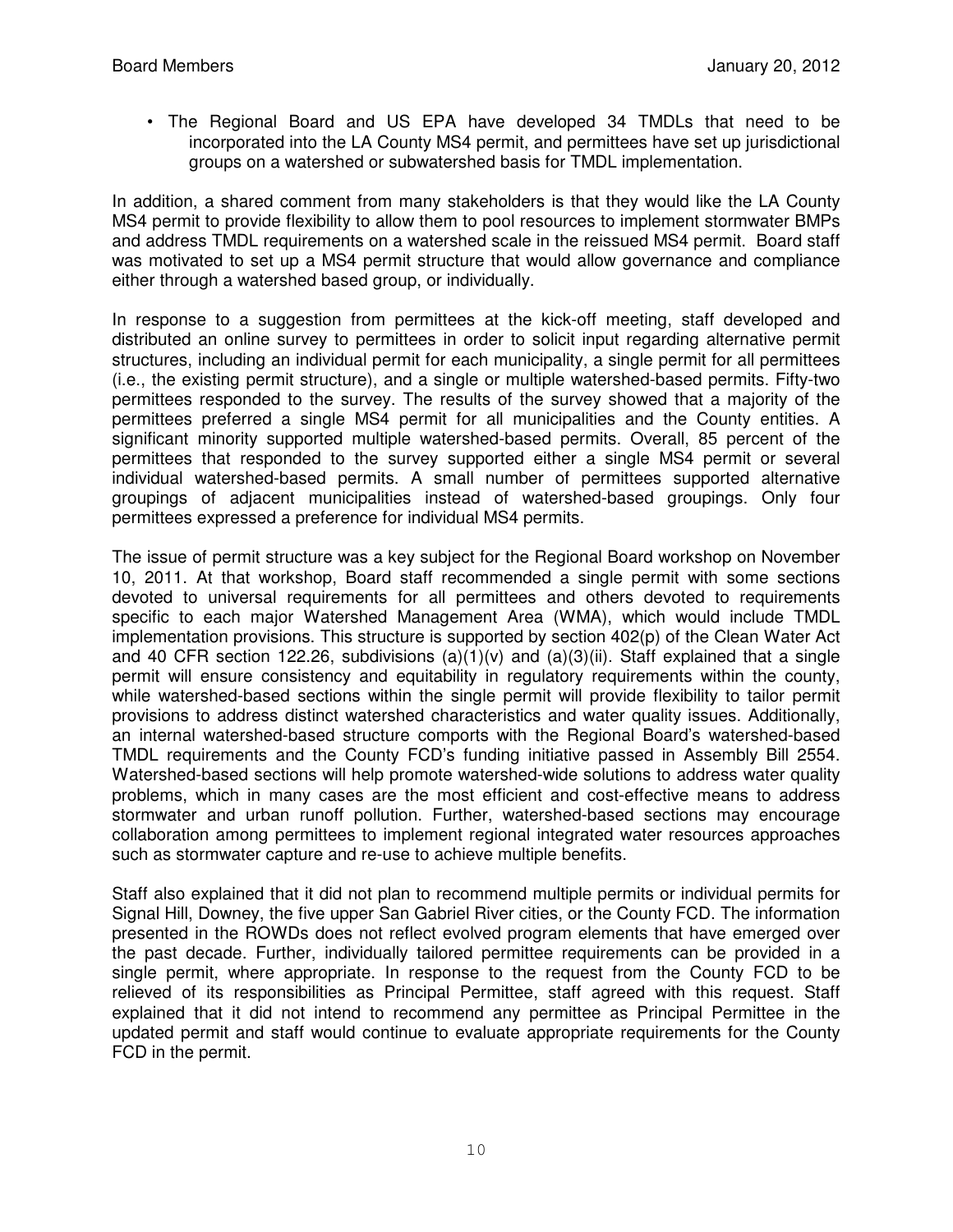• The Regional Board and US EPA have developed 34 TMDLs that need to be incorporated into the LA County MS4 permit, and permittees have set up jurisdictional groups on a watershed or subwatershed basis for TMDL implementation.

In addition, a shared comment from many stakeholders is that they would like the LA County MS4 permit to provide flexibility to allow them to pool resources to implement stormwater BMPs and address TMDL requirements on a watershed scale in the reissued MS4 permit. Board staff was motivated to set up a MS4 permit structure that would allow governance and compliance either through a watershed based group, or individually.

In response to a suggestion from permittees at the kick-off meeting, staff developed and distributed an online survey to permittees in order to solicit input regarding alternative permit structures, including an individual permit for each municipality, a single permit for all permittees (i.e., the existing permit structure), and a single or multiple watershed-based permits. Fifty-two permittees responded to the survey. The results of the survey showed that a majority of the permittees preferred a single MS4 permit for all municipalities and the County entities. A significant minority supported multiple watershed-based permits. Overall, 85 percent of the permittees that responded to the survey supported either a single MS4 permit or several individual watershed-based permits. A small number of permittees supported alternative groupings of adjacent municipalities instead of watershed-based groupings. Only four permittees expressed a preference for individual MS4 permits.

The issue of permit structure was a key subject for the Regional Board workshop on November 10, 2011. At that workshop, Board staff recommended a single permit with some sections devoted to universal requirements for all permittees and others devoted to requirements specific to each major Watershed Management Area (WMA), which would include TMDL implementation provisions. This structure is supported by section 402(p) of the Clean Water Act and 40 CFR section 122.26, subdivisions  $(a)(1)(v)$  and  $(a)(3)(ii)$ . Staff explained that a single permit will ensure consistency and equitability in regulatory requirements within the county, while watershed-based sections within the single permit will provide flexibility to tailor permit provisions to address distinct watershed characteristics and water quality issues. Additionally, an internal watershed-based structure comports with the Regional Board's watershed-based TMDL requirements and the County FCD's funding initiative passed in Assembly Bill 2554. Watershed-based sections will help promote watershed-wide solutions to address water quality problems, which in many cases are the most efficient and cost-effective means to address stormwater and urban runoff pollution. Further, watershed-based sections may encourage collaboration among permittees to implement regional integrated water resources approaches such as stormwater capture and re-use to achieve multiple benefits.

Staff also explained that it did not plan to recommend multiple permits or individual permits for Signal Hill, Downey, the five upper San Gabriel River cities, or the County FCD. The information presented in the ROWDs does not reflect evolved program elements that have emerged over the past decade. Further, individually tailored permittee requirements can be provided in a single permit, where appropriate. In response to the request from the County FCD to be relieved of its responsibilities as Principal Permittee, staff agreed with this request. Staff explained that it did not intend to recommend any permittee as Principal Permittee in the updated permit and staff would continue to evaluate appropriate requirements for the County FCD in the permit.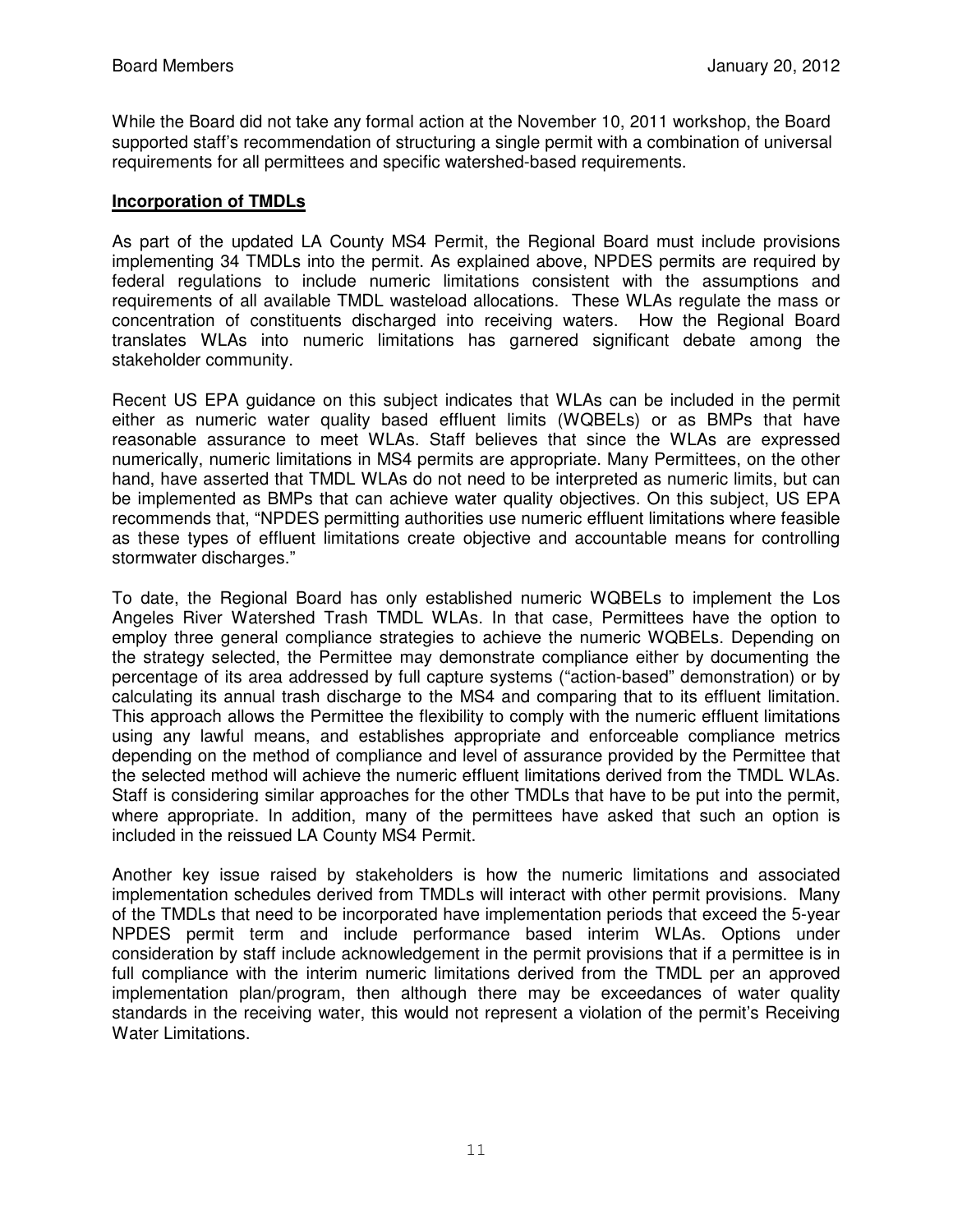While the Board did not take any formal action at the November 10, 2011 workshop, the Board supported staff's recommendation of structuring a single permit with a combination of universal requirements for all permittees and specific watershed-based requirements.

### **Incorporation of TMDLs**

As part of the updated LA County MS4 Permit, the Regional Board must include provisions implementing 34 TMDLs into the permit. As explained above, NPDES permits are required by federal regulations to include numeric limitations consistent with the assumptions and requirements of all available TMDL wasteload allocations. These WLAs regulate the mass or concentration of constituents discharged into receiving waters. How the Regional Board translates WLAs into numeric limitations has garnered significant debate among the stakeholder community.

Recent US EPA guidance on this subject indicates that WLAs can be included in the permit either as numeric water quality based effluent limits (WQBELs) or as BMPs that have reasonable assurance to meet WLAs. Staff believes that since the WLAs are expressed numerically, numeric limitations in MS4 permits are appropriate. Many Permittees, on the other hand, have asserted that TMDL WLAs do not need to be interpreted as numeric limits, but can be implemented as BMPs that can achieve water quality objectives. On this subject, US EPA recommends that, "NPDES permitting authorities use numeric effluent limitations where feasible as these types of effluent limitations create objective and accountable means for controlling stormwater discharges."

To date, the Regional Board has only established numeric WQBELs to implement the Los Angeles River Watershed Trash TMDL WLAs. In that case, Permittees have the option to employ three general compliance strategies to achieve the numeric WQBELs. Depending on the strategy selected, the Permittee may demonstrate compliance either by documenting the percentage of its area addressed by full capture systems ("action-based" demonstration) or by calculating its annual trash discharge to the MS4 and comparing that to its effluent limitation. This approach allows the Permittee the flexibility to comply with the numeric effluent limitations using any lawful means, and establishes appropriate and enforceable compliance metrics depending on the method of compliance and level of assurance provided by the Permittee that the selected method will achieve the numeric effluent limitations derived from the TMDL WLAs. Staff is considering similar approaches for the other TMDLs that have to be put into the permit, where appropriate. In addition, many of the permittees have asked that such an option is included in the reissued LA County MS4 Permit.

Another key issue raised by stakeholders is how the numeric limitations and associated implementation schedules derived from TMDLs will interact with other permit provisions. Many of the TMDLs that need to be incorporated have implementation periods that exceed the 5-year NPDES permit term and include performance based interim WLAs. Options under consideration by staff include acknowledgement in the permit provisions that if a permittee is in full compliance with the interim numeric limitations derived from the TMDL per an approved implementation plan/program, then although there may be exceedances of water quality standards in the receiving water, this would not represent a violation of the permit's Receiving Water Limitations.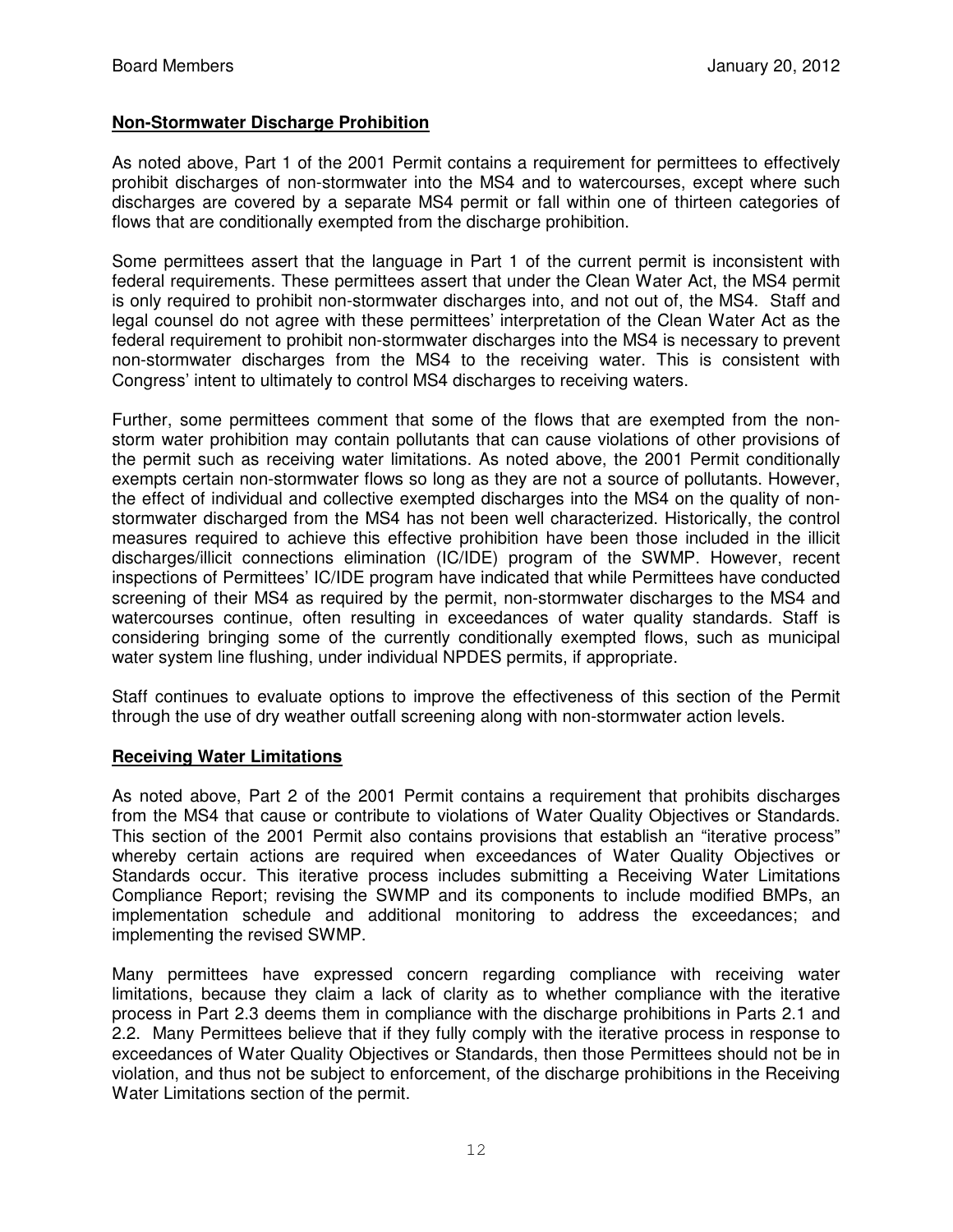## **Non-Stormwater Discharge Prohibition**

As noted above, Part 1 of the 2001 Permit contains a requirement for permittees to effectively prohibit discharges of non-stormwater into the MS4 and to watercourses, except where such discharges are covered by a separate MS4 permit or fall within one of thirteen categories of flows that are conditionally exempted from the discharge prohibition.

Some permittees assert that the language in Part 1 of the current permit is inconsistent with federal requirements. These permittees assert that under the Clean Water Act, the MS4 permit is only required to prohibit non-stormwater discharges into, and not out of, the MS4. Staff and legal counsel do not agree with these permittees' interpretation of the Clean Water Act as the federal requirement to prohibit non-stormwater discharges into the MS4 is necessary to prevent non-stormwater discharges from the MS4 to the receiving water. This is consistent with Congress' intent to ultimately to control MS4 discharges to receiving waters.

Further, some permittees comment that some of the flows that are exempted from the nonstorm water prohibition may contain pollutants that can cause violations of other provisions of the permit such as receiving water limitations. As noted above, the 2001 Permit conditionally exempts certain non-stormwater flows so long as they are not a source of pollutants. However, the effect of individual and collective exempted discharges into the MS4 on the quality of nonstormwater discharged from the MS4 has not been well characterized. Historically, the control measures required to achieve this effective prohibition have been those included in the illicit discharges/illicit connections elimination (IC/IDE) program of the SWMP. However, recent inspections of Permittees' IC/IDE program have indicated that while Permittees have conducted screening of their MS4 as required by the permit, non-stormwater discharges to the MS4 and watercourses continue, often resulting in exceedances of water quality standards. Staff is considering bringing some of the currently conditionally exempted flows, such as municipal water system line flushing, under individual NPDES permits, if appropriate.

Staff continues to evaluate options to improve the effectiveness of this section of the Permit through the use of dry weather outfall screening along with non-stormwater action levels.

### **Receiving Water Limitations**

As noted above, Part 2 of the 2001 Permit contains a requirement that prohibits discharges from the MS4 that cause or contribute to violations of Water Quality Objectives or Standards. This section of the 2001 Permit also contains provisions that establish an "iterative process" whereby certain actions are required when exceedances of Water Quality Objectives or Standards occur. This iterative process includes submitting a Receiving Water Limitations Compliance Report; revising the SWMP and its components to include modified BMPs, an implementation schedule and additional monitoring to address the exceedances; and implementing the revised SWMP.

Many permittees have expressed concern regarding compliance with receiving water limitations, because they claim a lack of clarity as to whether compliance with the iterative process in Part 2.3 deems them in compliance with the discharge prohibitions in Parts 2.1 and 2.2. Many Permittees believe that if they fully comply with the iterative process in response to exceedances of Water Quality Objectives or Standards, then those Permittees should not be in violation, and thus not be subject to enforcement, of the discharge prohibitions in the Receiving Water Limitations section of the permit.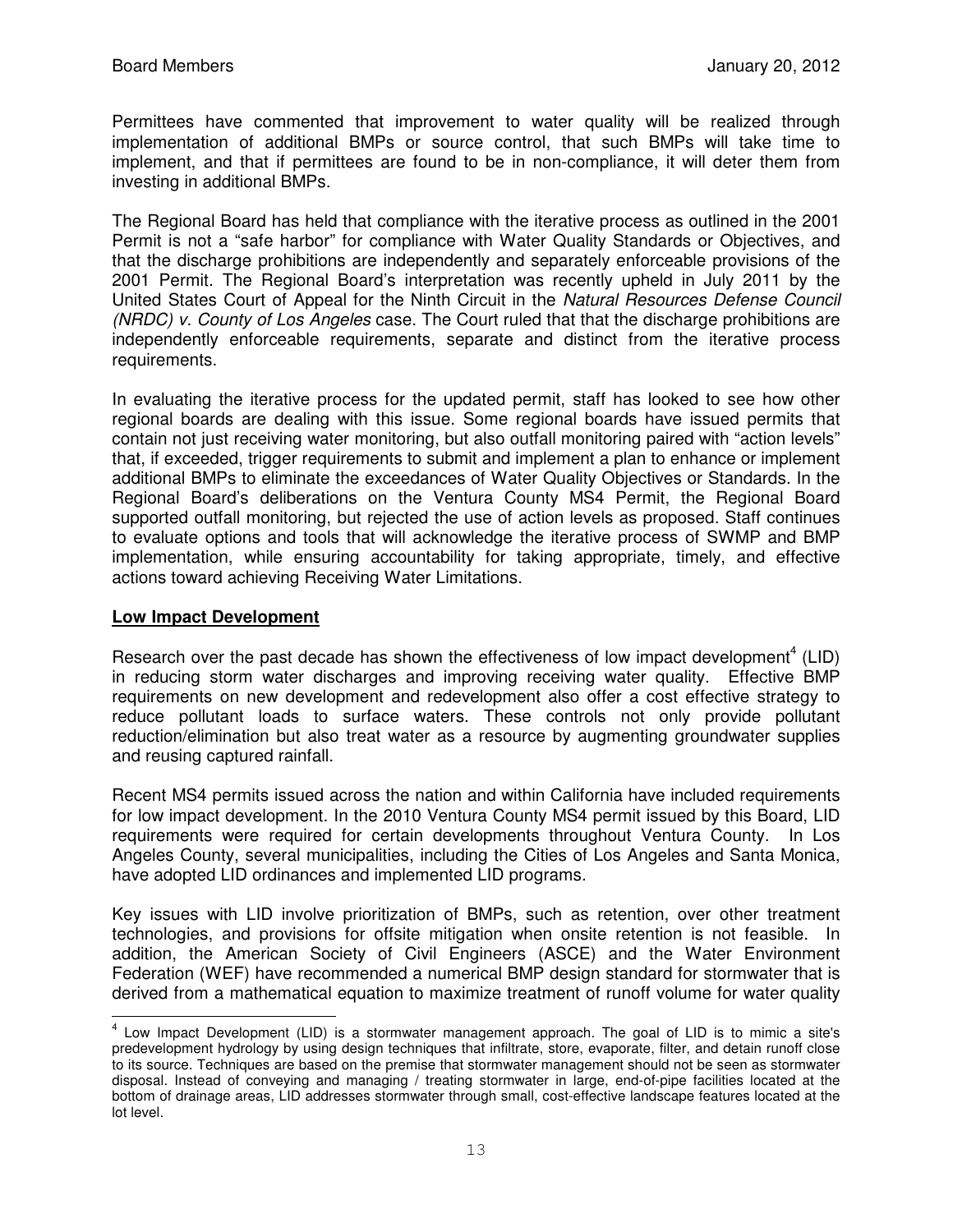Permittees have commented that improvement to water quality will be realized through implementation of additional BMPs or source control, that such BMPs will take time to implement, and that if permittees are found to be in non-compliance, it will deter them from investing in additional BMPs.

The Regional Board has held that compliance with the iterative process as outlined in the 2001 Permit is not a "safe harbor" for compliance with Water Quality Standards or Objectives, and that the discharge prohibitions are independently and separately enforceable provisions of the 2001 Permit. The Regional Board's interpretation was recently upheld in July 2011 by the United States Court of Appeal for the Ninth Circuit in the Natural Resources Defense Council (NRDC) v. County of Los Angeles case. The Court ruled that that the discharge prohibitions are independently enforceable requirements, separate and distinct from the iterative process requirements.

In evaluating the iterative process for the updated permit, staff has looked to see how other regional boards are dealing with this issue. Some regional boards have issued permits that contain not just receiving water monitoring, but also outfall monitoring paired with "action levels" that, if exceeded, trigger requirements to submit and implement a plan to enhance or implement additional BMPs to eliminate the exceedances of Water Quality Objectives or Standards. In the Regional Board's deliberations on the Ventura County MS4 Permit, the Regional Board supported outfall monitoring, but rejected the use of action levels as proposed. Staff continues to evaluate options and tools that will acknowledge the iterative process of SWMP and BMP implementation, while ensuring accountability for taking appropriate, timely, and effective actions toward achieving Receiving Water Limitations.

### **Low Impact Development**

Research over the past decade has shown the effectiveness of low impact development<sup>4</sup> (LID) in reducing storm water discharges and improving receiving water quality. Effective BMP requirements on new development and redevelopment also offer a cost effective strategy to reduce pollutant loads to surface waters. These controls not only provide pollutant reduction/elimination but also treat water as a resource by augmenting groundwater supplies and reusing captured rainfall.

Recent MS4 permits issued across the nation and within California have included requirements for low impact development. In the 2010 Ventura County MS4 permit issued by this Board, LID requirements were required for certain developments throughout Ventura County. In Los Angeles County, several municipalities, including the Cities of Los Angeles and Santa Monica, have adopted LID ordinances and implemented LID programs.

Key issues with LID involve prioritization of BMPs, such as retention, over other treatment technologies, and provisions for offsite mitigation when onsite retention is not feasible. In addition, the American Society of Civil Engineers (ASCE) and the Water Environment Federation (WEF) have recommended a numerical BMP design standard for stormwater that is derived from a mathematical equation to maximize treatment of runoff volume for water quality j.

<sup>&</sup>lt;sup>4</sup> Low Impact Development (LID) is a stormwater management approach. The goal of LID is to mimic a site's predevelopment hydrology by using design techniques that infiltrate, store, evaporate, filter, and detain runoff close to its source. Techniques are based on the premise that stormwater management should not be seen as stormwater disposal. Instead of conveying and managing / treating stormwater in large, end-of-pipe facilities located at the bottom of drainage areas, LID addresses stormwater through small, cost-effective landscape features located at the lot level.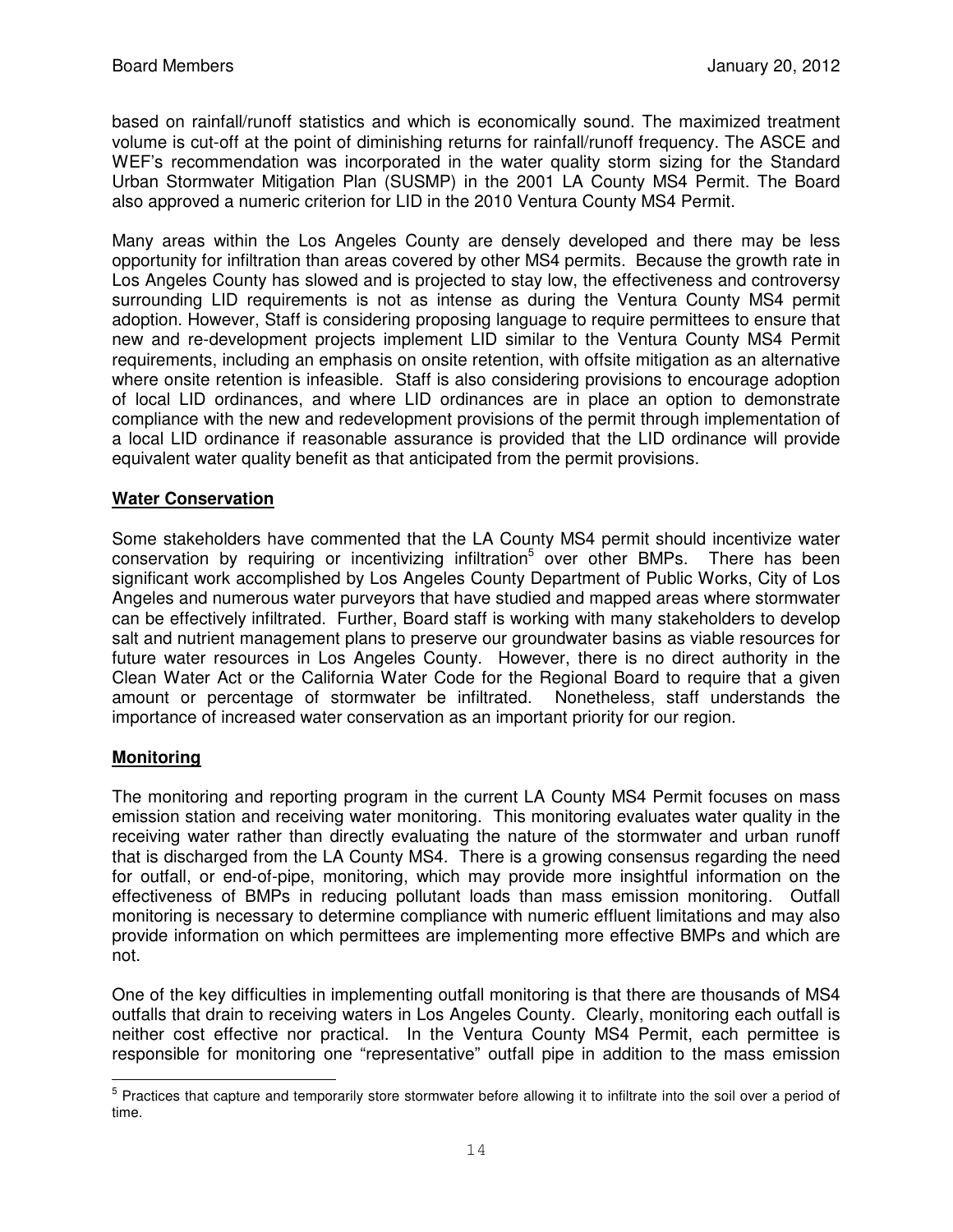based on rainfall/runoff statistics and which is economically sound. The maximized treatment volume is cut-off at the point of diminishing returns for rainfall/runoff frequency. The ASCE and WEF's recommendation was incorporated in the water quality storm sizing for the Standard Urban Stormwater Mitigation Plan (SUSMP) in the 2001 LA County MS4 Permit. The Board also approved a numeric criterion for LID in the 2010 Ventura County MS4 Permit.

Many areas within the Los Angeles County are densely developed and there may be less opportunity for infiltration than areas covered by other MS4 permits. Because the growth rate in Los Angeles County has slowed and is projected to stay low, the effectiveness and controversy surrounding LID requirements is not as intense as during the Ventura County MS4 permit adoption. However, Staff is considering proposing language to require permittees to ensure that new and re-development projects implement LID similar to the Ventura County MS4 Permit requirements, including an emphasis on onsite retention, with offsite mitigation as an alternative where onsite retention is infeasible. Staff is also considering provisions to encourage adoption of local LID ordinances, and where LID ordinances are in place an option to demonstrate compliance with the new and redevelopment provisions of the permit through implementation of a local LID ordinance if reasonable assurance is provided that the LID ordinance will provide equivalent water quality benefit as that anticipated from the permit provisions.

## **Water Conservation**

Some stakeholders have commented that the LA County MS4 permit should incentivize water conservation by requiring or incentivizing infiltration<sup>5</sup> over other BMPs. There has been significant work accomplished by Los Angeles County Department of Public Works, City of Los Angeles and numerous water purveyors that have studied and mapped areas where stormwater can be effectively infiltrated. Further, Board staff is working with many stakeholders to develop salt and nutrient management plans to preserve our groundwater basins as viable resources for future water resources in Los Angeles County. However, there is no direct authority in the Clean Water Act or the California Water Code for the Regional Board to require that a given amount or percentage of stormwater be infiltrated. Nonetheless, staff understands the importance of increased water conservation as an important priority for our region.

# **Monitoring**

L,

The monitoring and reporting program in the current LA County MS4 Permit focuses on mass emission station and receiving water monitoring. This monitoring evaluates water quality in the receiving water rather than directly evaluating the nature of the stormwater and urban runoff that is discharged from the LA County MS4. There is a growing consensus regarding the need for outfall, or end-of-pipe, monitoring, which may provide more insightful information on the effectiveness of BMPs in reducing pollutant loads than mass emission monitoring. Outfall monitoring is necessary to determine compliance with numeric effluent limitations and may also provide information on which permittees are implementing more effective BMPs and which are not.

One of the key difficulties in implementing outfall monitoring is that there are thousands of MS4 outfalls that drain to receiving waters in Los Angeles County. Clearly, monitoring each outfall is neither cost effective nor practical. In the Ventura County MS4 Permit, each permittee is responsible for monitoring one "representative" outfall pipe in addition to the mass emission

<sup>&</sup>lt;sup>5</sup> Practices that capture and temporarily store stormwater before allowing it to infiltrate into the soil over a period of time.